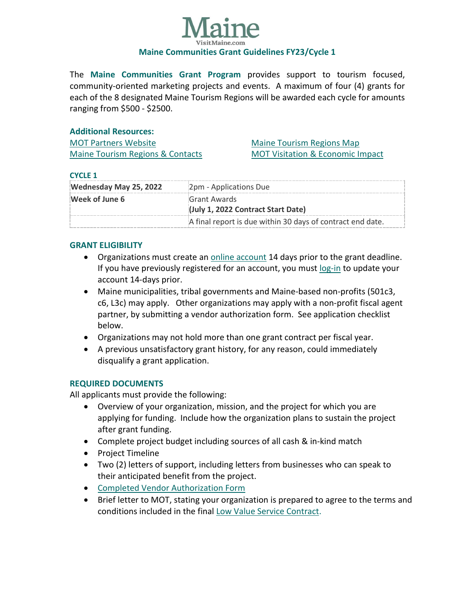

The **Maine Communities Grant Program** provides support to tourism focused, community-oriented marketing projects and events. A maximum of four (4) grants for each of the 8 designated Maine Tourism Regions will be awarded each cycle for amounts ranging from \$500 - \$2500.

#### **Additional Resources:**

MOT [Partners Website](https://motpartners.com/) [Maine Tourism Regions & Contacts](https://motpartners.com/partner-organizations/) [Maine Tourism Regions Map](https://motpartners.com/wp-content/uploads/2021/03/Maine_Regions.pdf) [MOT Visitation & Economic Impact](https://motpartners.com/research/)

#### **CYCLE 1**

| Wednesday May 25, 2022 | 2pm - Applications Due                                     |
|------------------------|------------------------------------------------------------|
| Week of June 6         | Grant Awards                                               |
|                        | (July 1, 2022 Contract Start Date)                         |
|                        | A final report is due within 30 days of contract end date. |

## **GRANT ELIGIBILITY**

- Organizations must create an [online account](https://stateofmaine.force.com/DECDMAINE/s/self-registration) 14 days prior to the grant deadline. If you have previously registered for an account, you must [log-in](https://stateofmaine.force.com/DECDMAINE/s/login/) to update your account 14-days prior.
- Maine municipalities, tribal governments and Maine-based non-profits (501c3, c6, L3c) may apply. Other organizations may apply with a non-profit fiscal agent partner, by submitting a vendor authorization form. See application checklist below.
- Organizations may not hold more than one grant contract per fiscal year.
- A previous unsatisfactory grant history, for any reason, could immediately disqualify a grant application.

## **REQUIRED DOCUMENTS**

All applicants must provide the following:

- Overview of your organization, mission, and the project for which you are applying for funding. Include how the organization plans to sustain the project after grant funding.
- Complete project budget including sources of all cash & in-kind match
- Project Timeline
- Two (2) letters of support, including letters from businesses who can speak to their anticipated benefit from the project.
- Completed [Vendor Authorization](https://www.maine.gov/osc/sites/maine.gov.osc/files/inline-files/vendor_ME_W9v5.pdf) Form
- Brief letter to MOT, stating your organization is prepared to agree to the terms and conditions included in the final [Low Value Service Contract.](https://motpartners.com/wp-content/uploads/2021/02/TERMS-AND-CONDITIONS.pdf)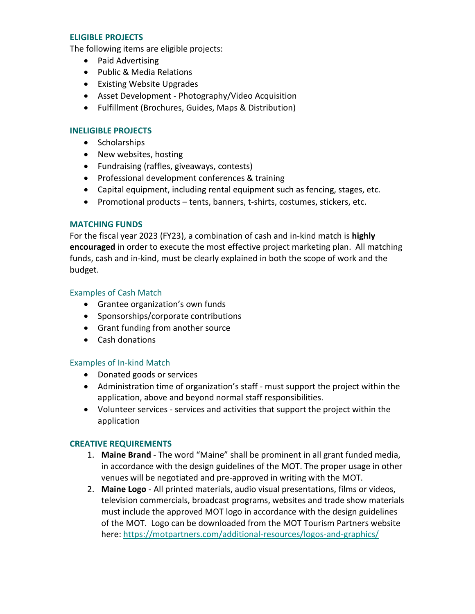#### **ELIGIBLE PROJECTS**

The following items are eligible projects:

- Paid Advertising
- Public & Media Relations
- Existing Website Upgrades
- Asset Development Photography/Video Acquisition
- Fulfillment (Brochures, Guides, Maps & Distribution)

# **INELIGIBLE PROJECTS**

- Scholarships
- New websites, hosting
- Fundraising (raffles, giveaways, contests)
- Professional development conferences & training
- Capital equipment, including rental equipment such as fencing, stages, etc.
- Promotional products tents, banners, t-shirts, costumes, stickers, etc.

## **MATCHING FUNDS**

For the fiscal year 2023 (FY23), a combination of cash and in-kind match is **highly encouraged** in order to execute the most effective project marketing plan. All matching funds, cash and in-kind, must be clearly explained in both the scope of work and the budget.

#### Examples of Cash Match

- Grantee organization's own funds
- Sponsorships/corporate contributions
- Grant funding from another source
- Cash donations

## Examples of In-kind Match

- Donated goods or services
- Administration time of organization's staff must support the project within the application, above and beyond normal staff responsibilities.
- Volunteer services services and activities that support the project within the application

## **CREATIVE REQUIREMENTS**

- 1. **Maine Brand** The word "Maine" shall be prominent in all grant funded media, in accordance with the design guidelines of the MOT. The proper usage in other venues will be negotiated and pre-approved in writing with the MOT.
- 2. **Maine Logo** All printed materials, audio visual presentations, films or videos, television commercials, broadcast programs, websites and trade show materials must include the approved MOT logo in accordance with the design guidelines of the MOT. Logo can be downloaded from the MOT Tourism Partners website here:<https://motpartners.com/additional-resources/logos-and-graphics/>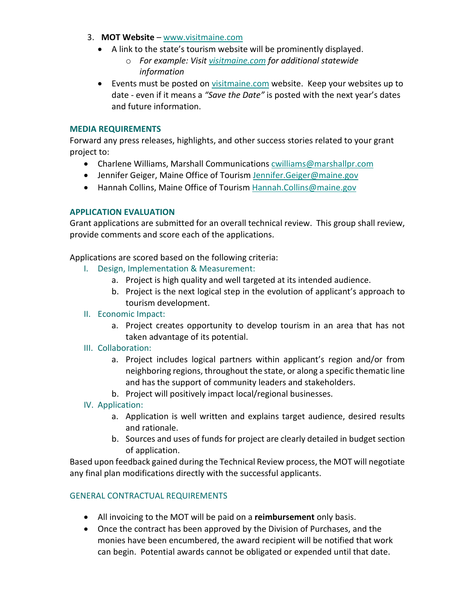- 3. **MOT Website** [www.visitmaine.com](http://www.visitmaine.com/)
	- A link to the state's tourism website will be prominently displayed.
		- o *For example: Visit [visitmaine.com](https://visitmaine.com/) for additional statewide information*
	- Events must be posted on [visitmaine.com](https://visitmaine.com/) website. Keep your websites up to date - even if it means a *"Save the Date"* is posted with the next year's dates and future information.

#### **MEDIA REQUIREMENTS**

Forward any press releases, highlights, and other success stories related to your grant project to:

- Charlene Williams, Marshall Communications [cwilliams@marshallpr.com](mailto:cwilliams@marshallpr.com)
- Jennifer Geiger, Maine Office of Tourism [Jennifer.Geiger@maine.gov](mailto:Jennifer.Geiger@maine.gov)
- Hannah Collins, Maine Office of Tourism [Hannah.Collins@maine.gov](mailto:Hannah.Collins@maine.gov)

#### **APPLICATION EVALUATION**

Grant applications are submitted for an overall technical review. This group shall review, provide comments and score each of the applications.

Applications are scored based on the following criteria:

- I. Design, Implementation & Measurement:
	- a. Project is high quality and well targeted at its intended audience.
	- b. Project is the next logical step in the evolution of applicant's approach to tourism development.

## II. Economic Impact:

a. Project creates opportunity to develop tourism in an area that has not taken advantage of its potential.

## III. Collaboration:

- a. Project includes logical partners within applicant's region and/or from neighboring regions, throughout the state, or along a specific thematic line and has the support of community leaders and stakeholders.
- b. Project will positively impact local/regional businesses.

## IV. Application:

- a. Application is well written and explains target audience, desired results and rationale.
- b. Sources and uses of funds for project are clearly detailed in budget section of application.

Based upon feedback gained during the Technical Review process, the MOT will negotiate any final plan modifications directly with the successful applicants.

## GENERAL CONTRACTUAL REQUIREMENTS

- All invoicing to the MOT will be paid on a **reimbursement** only basis.
- Once the contract has been approved by the Division of Purchases, and the monies have been encumbered, the award recipient will be notified that work can begin. Potential awards cannot be obligated or expended until that date.